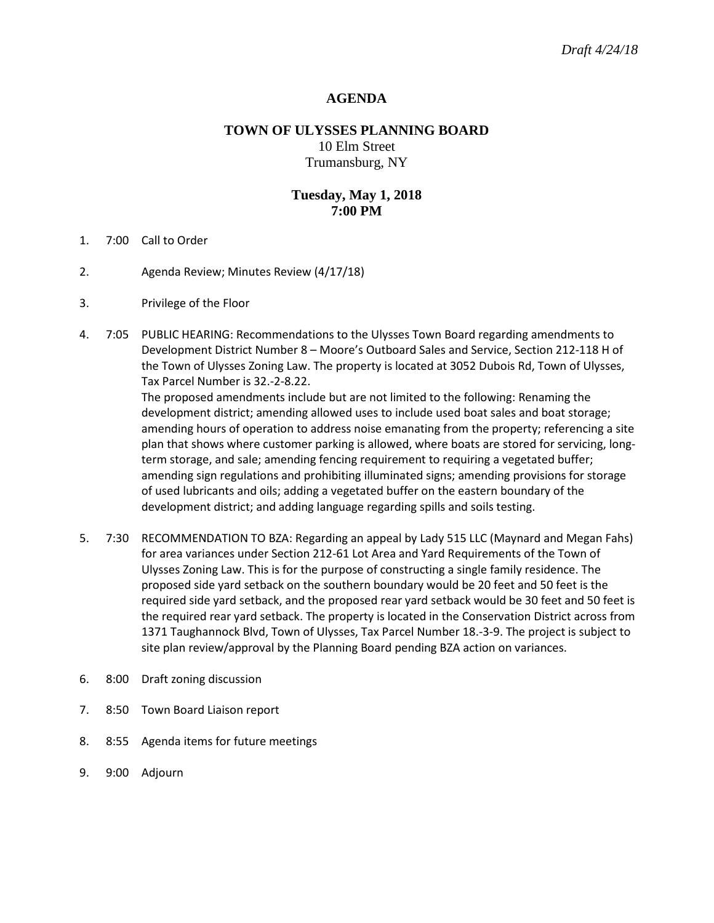## **AGENDA**

# **TOWN OF ULYSSES PLANNING BOARD** 10 Elm Street Trumansburg, NY

## **Tuesday, May 1, 2018 7:00 PM**

- 1. 7:00 Call to Order
- 2. Agenda Review; Minutes Review (4/17/18)
- 3. Privilege of the Floor
- 4. 7:05 PUBLIC HEARING: Recommendations to the Ulysses Town Board regarding amendments to Development District Number 8 – Moore's Outboard Sales and Service, Section 212-118 H of the Town of Ulysses Zoning Law. The property is located at 3052 Dubois Rd, Town of Ulysses, Tax Parcel Number is 32.-2-8.22.

The proposed amendments include but are not limited to the following: Renaming the development district; amending allowed uses to include used boat sales and boat storage; amending hours of operation to address noise emanating from the property; referencing a site plan that shows where customer parking is allowed, where boats are stored for servicing, longterm storage, and sale; amending fencing requirement to requiring a vegetated buffer; amending sign regulations and prohibiting illuminated signs; amending provisions for storage of used lubricants and oils; adding a vegetated buffer on the eastern boundary of the development district; and adding language regarding spills and soils testing.

- 5. 7:30 RECOMMENDATION TO BZA: Regarding an appeal by Lady 515 LLC (Maynard and Megan Fahs) for area variances under Section 212-61 Lot Area and Yard Requirements of the Town of Ulysses Zoning Law. This is for the purpose of constructing a single family residence. The proposed side yard setback on the southern boundary would be 20 feet and 50 feet is the required side yard setback, and the proposed rear yard setback would be 30 feet and 50 feet is the required rear yard setback. The property is located in the Conservation District across from 1371 Taughannock Blvd, Town of Ulysses, Tax Parcel Number 18.-3-9. The project is subject to site plan review/approval by the Planning Board pending BZA action on variances.
- 6. 8:00 Draft zoning discussion
- 7. 8:50 Town Board Liaison report
- 8. 8:55 Agenda items for future meetings
- 9. 9:00 Adjourn